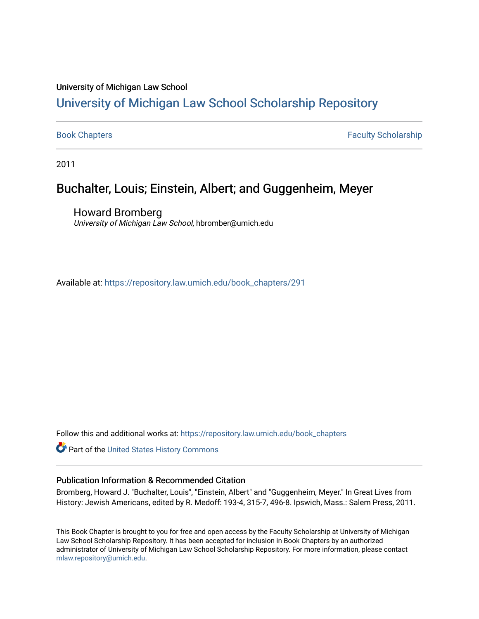## University of Michigan Law School

# [University of Michigan Law School Scholarship Repository](https://repository.law.umich.edu/)

[Book Chapters](https://repository.law.umich.edu/book_chapters) Faculty Scholarship

2011

# Buchalter, Louis; Einstein, Albert; and Guggenheim, Meyer

Howard Bromberg University of Michigan Law School, hbromber@umich.edu

Available at: [https://repository.law.umich.edu/book\\_chapters/291](https://repository.law.umich.edu/book_chapters/291) 

Follow this and additional works at: [https://repository.law.umich.edu/book\\_chapters](https://repository.law.umich.edu/book_chapters?utm_source=repository.law.umich.edu%2Fbook_chapters%2F291&utm_medium=PDF&utm_campaign=PDFCoverPages)

Part of the [United States History Commons](http://network.bepress.com/hgg/discipline/495?utm_source=repository.law.umich.edu%2Fbook_chapters%2F291&utm_medium=PDF&utm_campaign=PDFCoverPages) 

#### Publication Information & Recommended Citation

Bromberg, Howard J. "Buchalter, Louis", "Einstein, Albert" and "Guggenheim, Meyer." In Great Lives from History: Jewish Americans, edited by R. Medoff: 193-4, 315-7, 496-8. Ipswich, Mass.: Salem Press, 2011.

This Book Chapter is brought to you for free and open access by the Faculty Scholarship at University of Michigan Law School Scholarship Repository. It has been accepted for inclusion in Book Chapters by an authorized administrator of University of Michigan Law School Scholarship Repository. For more information, please contact [mlaw.repository@umich.edu.](mailto:mlaw.repository@umich.edu)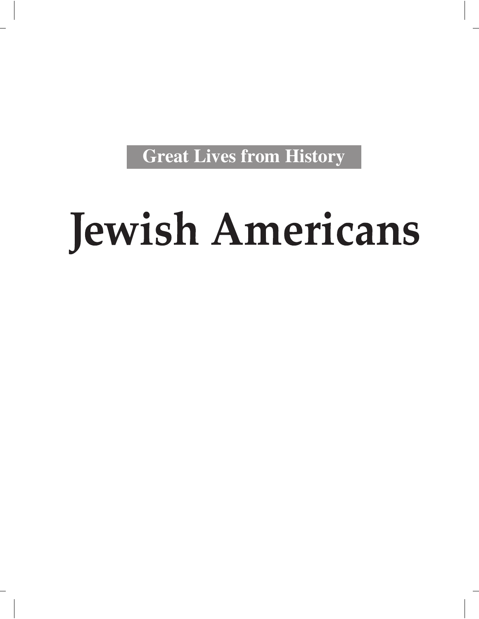**Great Lives from History**

# Jewish Americans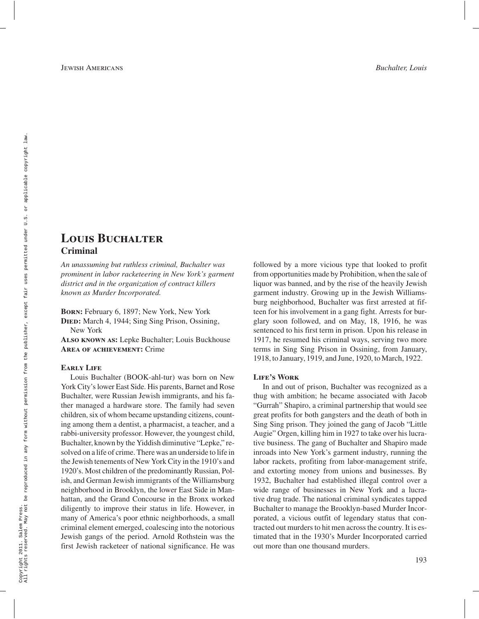# **Louis Buchalter Criminal**

*An unassuming but ruthless criminal, Buchalter was prominent in labor racketeering in New York's garment district and in the organization of contract killers known as Murder Incorporated.*

**Born:** February 6, 1897; New York, New York **Died:** March 4, 1944; Sing Sing Prison, Ossining, New York

**Also known as:** Lepke Buchalter; Louis Buckhouse **Area of achievement:** Crime

#### **Early Life**

Louis Buchalter (BOOK-ahl-tur) was born on New York City's lower East Side. His parents, Barnet and Rose Buchalter, were Russian Jewish immigrants, and his father managed a hardware store. The family had seven children, six of whom became upstanding citizens, counting among them a dentist, a pharmacist, a teacher, and a rabbi-university professor. However, the youngest child, Buchalter, known by the Yiddish diminutive "Lepke," resolved on a life of crime. There was an underside to life in the Jewish tenements of New York City in the 1910's and 1920's. Most children of the predominantly Russian, Polish, and German Jewish immigrants of the Williamsburg neighborhood in Brooklyn, the lower East Side in Manhattan, and the Grand Concourse in the Bronx worked diligently to improve their status in life. However, in many of America's poor ethnic neighborhoods, a small criminal element emerged, coalescing into the notorious Jewish gangs of the period. Arnold Rothstein was the first Jewish racketeer of national significance. He was

followed by a more vicious type that looked to profit from opportunities made by Prohibition, when the sale of liquor was banned, and by the rise of the heavily Jewish garment industry. Growing up in the Jewish Williamsburg neighborhood, Buchalter was first arrested at fifteen for his involvement in a gang fight. Arrests for burglary soon followed, and on May, 18, 1916, he was sentenced to his first term in prison. Upon his release in 1917, he resumed his criminal ways, serving two more terms in Sing Sing Prison in Ossining, from January, 1918, to January, 1919, and June, 1920, to March, 1922.

#### **Life's Work**

In and out of prison, Buchalter was recognized as a thug with ambition; he became associated with Jacob "Gurrah" Shapiro, a criminal partnership that would see great profits for both gangsters and the death of both in Sing Sing prison. They joined the gang of Jacob "Little Augie" Orgen, killing him in 1927 to take over his lucrative business. The gang of Buchalter and Shapiro made inroads into New York's garment industry, running the labor rackets, profiting from labor-management strife, and extorting money from unions and businesses. By 1932, Buchalter had established illegal control over a wide range of businesses in New York and a lucrative drug trade. The national criminal syndicates tapped Buchalter to manage the Brooklyn-based Murder Incorporated, a vicious outfit of legendary status that contracted out murders to hit men across the country. It is estimated that in the 1930's Murder Incorporated carried out more than one thousand murders.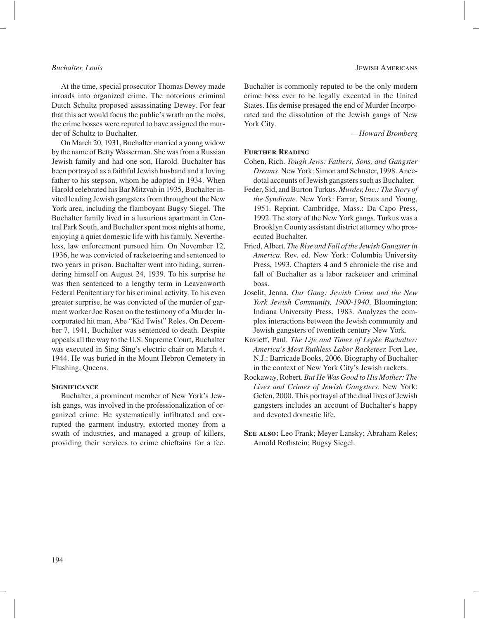At the time, special prosecutor Thomas Dewey made inroads into organized crime. The notorious criminal Dutch Schultz proposed assassinating Dewey. For fear that this act would focus the public's wrath on the mobs, the crime bosses were reputed to have assigned the murder of Schultz to Buchalter.

On March 20, 1931, Buchalter married a young widow by the name of Betty Wasserman. She was from a Russian Jewish family and had one son, Harold. Buchalter has been portrayed as a faithful Jewish husband and a loving father to his stepson, whom he adopted in 1934. When Harold celebrated his Bar Mitzvah in 1935, Buchalter invited leading Jewish gangsters from throughout the New York area, including the flamboyant Bugsy Siegel. The Buchalter family lived in a luxurious apartment in Central Park South, and Buchalter spent most nights at home, enjoying a quiet domestic life with his family. Nevertheless, law enforcement pursued him. On November 12, 1936, he was convicted of racketeering and sentenced to two years in prison. Buchalter went into hiding, surrendering himself on August 24, 1939. To his surprise he was then sentenced to a lengthy term in Leavenworth Federal Penitentiary for his criminal activity. To his even greater surprise, he was convicted of the murder of garment worker Joe Rosen on the testimony of a Murder Incorporated hit man, Abe "Kid Twist" Reles. On December 7, 1941, Buchalter was sentenced to death. Despite appeals all the way to the U.S. Supreme Court, Buchalter was executed in Sing Sing's electric chair on March 4, 1944. He was buried in the Mount Hebron Cemetery in Flushing, Queens.

#### **Significance**

Buchalter, a prominent member of New York's Jewish gangs, was involved in the professionalization of organized crime. He systematically infiltrated and corrupted the garment industry, extorted money from a swath of industries, and managed a group of killers, providing their services to crime chieftains for a fee.

Buchalter is commonly reputed to be the only modern crime boss ever to be legally executed in the United States. His demise presaged the end of Murder Incorporated and the dissolution of the Jewish gangs of New York City.

—*Howard Bromberg*

#### **Further Reading**

- Cohen, Rich. *Tough Jews: Fathers, Sons, and Gangster Dreams*. New York: Simon and Schuster, 1998. Anecdotal accounts of Jewish gangsters such as Buchalter.
- Feder, Sid, and Burton Turkus. *Murder, Inc.: The Story of the Syndicate*. New York: Farrar, Straus and Young, 1951. Reprint. Cambridge, Mass.: Da Capo Press, 1992. The story of the New York gangs. Turkus was a Brooklyn County assistant district attorney who prosecuted Buchalter.
- Fried, Albert. *The Rise and Fall of the Jewish Gangster in America*. Rev. ed. New York: Columbia University Press, 1993. Chapters 4 and 5 chronicle the rise and fall of Buchalter as a labor racketeer and criminal boss.
- Joselit, Jenna. *Our Gang: Jewish Crime and the New York Jewish Community, 1900-1940*. Bloomington: Indiana University Press, 1983. Analyzes the complex interactions between the Jewish community and Jewish gangsters of twentieth century New York.
- Kavieff, Paul. *The Life and Times of Lepke Buchalter: America's Most Ruthless Labor Racketeer*. Fort Lee, N.J.: Barricade Books, 2006. Biography of Buchalter in the context of New York City's Jewish rackets.
- Rockaway, Robert. *But He Was Good to His Mother: The Lives and Crimes of Jewish Gangsters*. New York: Gefen, 2000. This portrayal of the dual lives of Jewish gangsters includes an account of Buchalter's happy and devoted domestic life.
- **See also:** Leo Frank; Meyer Lansky; Abraham Reles; Arnold Rothstein; Bugsy Siegel.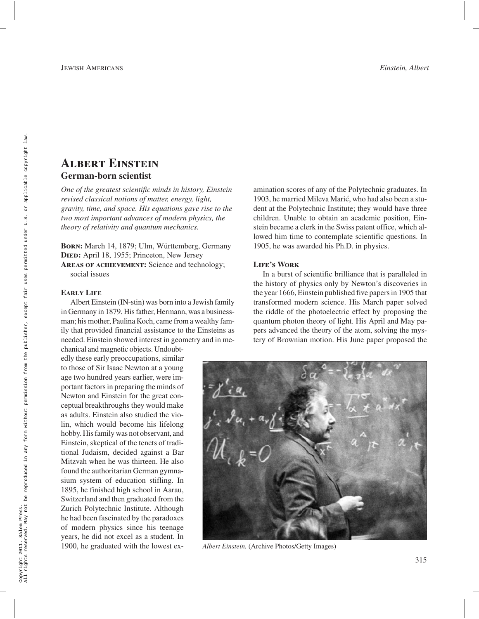# **Albert Einstein German-born scientist**

*One of the greatest scientific minds in history, Einstein revised classical notions of matter, energy, light, gravity, time, and space. His equations gave rise to the two most important advances of modern physics, the theory of relativity and quantum mechanics.*

**Born:** March 14, 1879; Ulm, Württemberg, Germany **Died:** April 18, 1955; Princeton, New Jersey AREAS OF ACHIEVEMENT: Science and technology; social issues

#### **Early Life**

Albert Einstein (IN-stin) was born into a Jewish family in Germany in 1879. His father, Hermann, was a businessman; his mother, Paulina Koch, came from a wealthy family that provided financial assistance to the Einsteins as needed. Einstein showed interest in geometry and in me-

chanical and magnetic objects. Undoubtedly these early preoccupations, similar to those of Sir Isaac Newton at a young age two hundred years earlier, were important factors in preparing the minds of Newton and Einstein for the great conceptual breakthroughs they would make as adults. Einstein also studied the violin, which would become his lifelong hobby. His family was not observant, and Einstein, skeptical of the tenets of traditional Judaism, decided against a Bar Mitzvah when he was thirteen. He also found the authoritarian German gymnasium system of education stifling. In 1895, he finished high school in Aarau, Switzerland and then graduated from the Zurich Polytechnic Institute. Although he had been fascinated by the paradoxes of modern physics since his teenage years, he did not excel as a student. In 1900, he graduated with the lowest examination scores of any of the Polytechnic graduates. In 1903, he married Mileva Marić, who had also been a student at the Polytechnic Institute; they would have three children. Unable to obtain an academic position, Einstein became a clerk in the Swiss patent office, which allowed him time to contemplate scientific questions. In 1905, he was awarded his Ph.D. in physics.

#### **Life's Work**

In a burst of scientific brilliance that is paralleled in the history of physics only by Newton's discoveries in the year 1666, Einstein published five papers in 1905 that transformed modern science. His March paper solved the riddle of the photoelectric effect by proposing the quantum photon theory of light. His April and May papers advanced the theory of the atom, solving the mystery of Brownian motion. His June paper proposed the



*Albert Einstein.* (Archive Photos/Getty Images)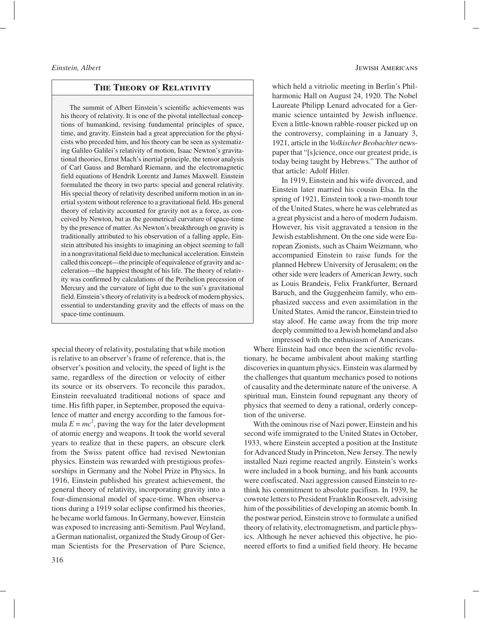### **The Theory of Relativity**

The summit of Albert Einstein's scientific achievements was his theory of relativity. It is one of the pivotal intellectual conceptions of humankind, revising fundamental principles of space, time, and gravity. Einstein had a great appreciation for the physicists who preceded him, and his theory can be seen as systematizing Galileo Galilei's relativity of motion, Isaac Newton's gravitational theories, Ernst Mach's inertial principle, the tensor analysis of Carl Gauss and Bernhard Riemann, and the electromagnetic field equations of Hendrik Lorentz and James Maxwell. Einstein formulated the theory in two parts: special and general relativity. His special theory of relativity described uniform motion in an inertial system without reference to a gravitational field. His general theory of relativity accounted for gravity not as a force, as conceived by Newton, but as the geometrical curvature of space-time by the presence of matter. As Newton's breakthrough on gravity is traditionally attributed to his observation of a falling apple, Einstein attributed his insights to imagining an object seeming to fall in a nongravitational field due to mechanical acceleration. Einstein called this concept—the principle of equivalence of gravity and acceleration—the happiest thought of his life. The theory of relativity was confirmed by calculations of the Perihelion precession of Mercury and the curvature of light due to the sun's gravitational field. Einstein's theory of relativity is a bedrock of modern physics, essential to understanding gravity and the effects of mass on the space-time continuum.

special theory of relativity, postulating that while motion is relative to an observer's frame of reference, that is, the observer's position and velocity, the speed of light is the same, regardless of the direction or velocity of either its source or its observers. To reconcile this paradox, Einstein reevaluated traditional notions of space and time. His fifth paper, in September, proposed the equivalence of matter and energy according to the famous formula  $E = mc^2$ , paving the way for the later development of atomic energy and weapons. It took the world several years to realize that in these papers, an obscure clerk from the Swiss patent office had revised Newtonian physics. Einstein was rewarded with prestigious professorships in Germany and the Nobel Prize in Physics. In 1916, Einstein published his greatest achievement, the general theory of relativity, incorporating gravity into a four-dimensional model of space-time. When observations during a 1919 solar eclipse confirmed his theories, he became world famous. In Germany, however, Einstein was exposed to increasing anti-Semitism. Paul Weyland, a German nationalist, organized the Study Group of German Scientists for the Preservation of Pure Science, which held a vitriolic meeting in Berlin's Philharmonic Hall on August 24, 1920. The Nobel Laureate Philipp Lenard advocated for a Germanic science untainted by Jewish influence. Even a little-known rabble-rouser picked up on the controversy, complaining in a January 3, 1921, article in the *Volkischer Beobachter* newspaper that "[s]cience, once our greatest pride, is today being taught by Hebrews." The author of that article: Adolf Hitler.

In 1919, Einstein and his wife divorced, and Einstein later married his cousin Elsa. In the spring of 1921, Einstein took a two-month tour of the United States, where he was celebrated as a great physicist and a hero of modern Judaism. However, his visit aggravated a tension in the Jewish establishment. On the one side were European Zionists, such as Chaim Weizmann, who accompanied Einstein to raise funds for the planned Hebrew University of Jerusalem; on the other side were leaders of American Jewry, such as Louis Brandeis, Felix Frankfurter, Bernard Baruch, and the Guggenheim family, who emphasized success and even assimilation in the United States. Amid the rancor, Einstein tried to stay aloof. He came away from the trip more deeply committed to a Jewish homeland and also impressed with the enthusiasm of Americans.

Where Einstein had once been the scientific revolutionary, he became ambivalent about making startling discoveries in quantum physics. Einstein was alarmed by the challenges that quantum mechanics posed to notions of causality and the determinate nature of the universe. A spiritual man, Einstein found repugnant any theory of physics that seemed to deny a rational, orderly conception of the universe.

With the ominous rise of Nazi power, Einstein and his second wife immigrated to the United States in October, 1933, where Einstein accepted a position at the Institute for Advanced Study in Princeton, New Jersey. The newly installed Nazi regime reacted angrily. Einstein's works were included in a book burning, and his bank accounts were confiscated. Nazi aggression caused Einstein to rethink his commitment to absolute pacifism. In 1939, he cowrote letters to President Franklin Roosevelt, advising him of the possibilities of developing an atomic bomb. In the postwar period, Einstein strove to formulate a unified theory of relativity, electromagnetism, and particle physics. Although he never achieved this objective, he pioneered efforts to find a unified field theory. He became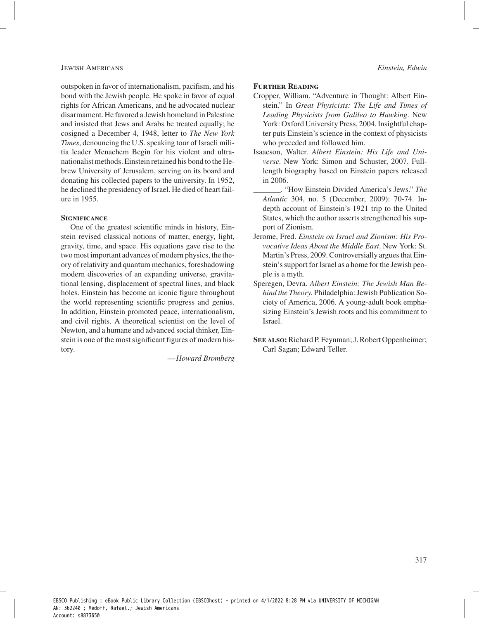outspoken in favor of internationalism, pacifism, and his bond with the Jewish people. He spoke in favor of equal rights for African Americans, and he advocated nuclear disarmament. He favored a Jewish homeland in Palestine and insisted that Jews and Arabs be treated equally; he cosigned a December 4, 1948, letter to *The New York Times*, denouncing the U.S. speaking tour of Israeli militia leader Menachem Begin for his violent and ultranationalist methods. Einstein retained his bond to the Hebrew University of Jerusalem, serving on its board and donating his collected papers to the university. In 1952, he declined the presidency of Israel. He died of heart failure in 1955.

#### **Significance**

One of the greatest scientific minds in history, Einstein revised classical notions of matter, energy, light, gravity, time, and space. His equations gave rise to the two most important advances of modern physics, the theory of relativity and quantum mechanics, foreshadowing modern discoveries of an expanding universe, gravitational lensing, displacement of spectral lines, and black holes. Einstein has become an iconic figure throughout the world representing scientific progress and genius. In addition, Einstein promoted peace, internationalism, and civil rights. A theoretical scientist on the level of Newton, and a humane and advanced social thinker, Einstein is one of the most significant figures of modern history.

—*Howard Bromberg*

#### **Further Reading**

- Cropper, William. "Adventure in Thought: Albert Einstein." In *Great Physicists: The Life and Times of Leading Physicists from Galileo to Hawking*. New York: Oxford University Press, 2004. Insightful chapter puts Einstein's science in the context of physicists who preceded and followed him.
- Isaacson, Walter. *Albert Einstein: His Life and Universe*. New York: Simon and Schuster, 2007. Fulllength biography based on Einstein papers released in 2006.
- \_\_\_\_\_\_\_. "How Einstein Divided America's Jews." *The Atlantic* 304, no. 5 (December, 2009): 70-74. Indepth account of Einstein's 1921 trip to the United States, which the author asserts strengthened his support of Zionism.
- Jerome, Fred. *Einstein on Israel and Zionism: His Provocative Ideas About the Middle East*. New York: St. Martin's Press, 2009. Controversially argues that Einstein's support for Israel as a home for the Jewish people is a myth.
- Speregen, Devra. *Albert Einstein: The Jewish Man Behind the Theory*. Philadelphia: Jewish Publication Society of America, 2006. A young-adult book emphasizing Einstein's Jewish roots and his commitment to Israel.
- **See also:**Richard P. Feynman; J. Robert Oppenheimer; Carl Sagan; Edward Teller.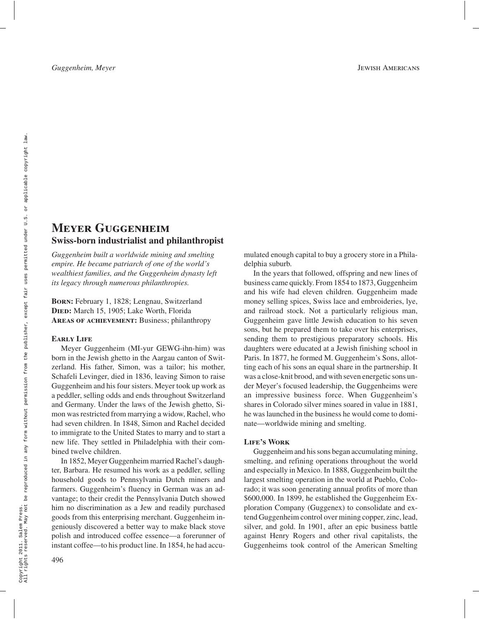# **Meyer Guggenheim Swiss-born industrialist and philanthropist**

*Guggenheim built a worldwide mining and smelting empire. He became patriarch of one of the world's wealthiest families, and the Guggenheim dynasty left its legacy through numerous philanthropies.*

**Born:** February 1, 1828; Lengnau, Switzerland **Died:** March 15, 1905; Lake Worth, Florida **Areas of achievement:** Business; philanthropy

#### **Early Life**

Meyer Guggenheim (MI-yur GEWG-ihn-him) was born in the Jewish ghetto in the Aargau canton of Switzerland. His father, Simon, was a tailor; his mother, Schafeli Levinger, died in 1836, leaving Simon to raise Guggenheim and his four sisters. Meyer took up work as a peddler, selling odds and ends throughout Switzerland and Germany. Under the laws of the Jewish ghetto, Simon was restricted from marrying a widow, Rachel, who had seven children. In 1848, Simon and Rachel decided to immigrate to the United States to marry and to start a new life. They settled in Philadelphia with their combined twelve children.

In 1852, Meyer Guggenheim married Rachel's daughter, Barbara. He resumed his work as a peddler, selling household goods to Pennsylvania Dutch miners and farmers. Guggenheim's fluency in German was an advantage; to their credit the Pennsylvania Dutch showed him no discrimination as a Jew and readily purchased goods from this enterprising merchant. Guggenheim ingeniously discovered a better way to make black stove polish and introduced coffee essence—a forerunner of instant coffee—to his product line. In 1854, he had accumulated enough capital to buy a grocery store in a Philadelphia suburb.

In the years that followed, offspring and new lines of business came quickly. From 1854 to 1873, Guggenheim and his wife had eleven children. Guggenheim made money selling spices, Swiss lace and embroideries, lye, and railroad stock. Not a particularly religious man, Guggenheim gave little Jewish education to his seven sons, but he prepared them to take over his enterprises, sending them to prestigious preparatory schools. His daughters were educated at a Jewish finishing school in Paris. In 1877, he formed M. Guggenheim's Sons, allotting each of his sons an equal share in the partnership. It was a close-knit brood, and with seven energetic sons under Meyer's focused leadership, the Guggenheims were an impressive business force. When Guggenheim's shares in Colorado silver mines soared in value in 1881, he was launched in the business he would come to dominate—worldwide mining and smelting.

#### **Life's Work**

Guggenheim and his sons began accumulating mining, smelting, and refining operations throughout the world and especially in Mexico. In 1888, Guggenheim built the largest smelting operation in the world at Pueblo, Colorado; it was soon generating annual profits of more than \$600,000. In 1899, he established the Guggenheim Exploration Company (Guggenex) to consolidate and extend Guggenheim control over mining copper, zinc, lead, silver, and gold. In 1901, after an epic business battle against Henry Rogers and other rival capitalists, the Guggenheims took control of the American Smelting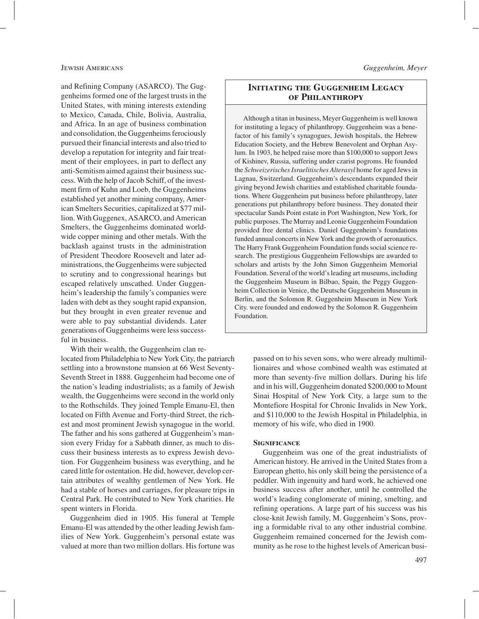and Refining Company (ASARCO). The Guggenheims formed one of the largest trusts in the United States, with mining interests extending to Mexico, Canada, Chile, Bolivia, Australia, and Africa. In an age of business combination and consolidation, the Guggenheims ferociously pursued their financial interests and also tried to develop a reputation for integrity and fair treatment of their employees, in part to deflect any anti-Semitism aimed against their business success. With the help of Jacob Schiff, of the investment firm of Kuhn and Loeb, the Guggenheims established yet another mining company, American Smelters Securities, capitalized at \$77 million. With Guggenex, ASARCO, and American Smelters, the Guggenheims dominated worldwide copper mining and other metals. With the backlash against trusts in the administration of President Theodore Roosevelt and later administrations, the Guggenheims were subjected to scrutiny and to congressional hearings but escaped relatively unscathed. Under Guggenheim's leadership the family's companies were laden with debt as they sought rapid expansion, but they brought in even greater revenue and were able to pay substantial dividends. Later generations of Guggenheims were less successful in business.

With their wealth, the Guggenheim clan relocated from Philadelphia to New York City, the patriarch settling into a brownstone mansion at 66 West Seventy-Seventh Street in 1888. Guggenheim had become one of the nation's leading industrialists; as a family of Jewish wealth, the Guggenheims were second in the world only to the Rothschilds. They joined Temple Emanu-El, then located on Fifth Avenue and Forty-third Street, the richest and most prominent Jewish synagogue in the world. The father and his sons gathered at Guggenheim's mansion every Friday for a Sabbath dinner, as much to discuss their business interests as to express Jewish devotion. For Guggenheim business was everything, and he cared little for ostentation. He did, however, develop certain attributes of wealthy gentlemen of New York. He had a stable of horses and carriages, for pleasure trips in Central Park. He contributed to New York charities. He spent winters in Florida.

Guggenheim died in 1905. His funeral at Temple Emanu-El was attended by the other leading Jewish families of New York. Guggenheim's personal estate was valued at more than two million dollars. His fortune was

## **Initiating the Guggenheim Legacy of Philanthropy**

Although a titan in business, Meyer Guggenheim is well known for instituting a legacy of philanthropy. Guggenheim was a benefactor of his family's synagogues, Jewish hospitals, the Hebrew Education Society, and the Hebrew Benevolent and Orphan Asylum. In 1903, he helped raise more than \$100,000 to support Jews of Kishinev, Russia, suffering under czarist pogroms. He founded the *Schweizerisches Israelitisches Alterasyl* home for aged Jews in Lagnau, Switzerland. Guggenheim's descendants expanded their giving beyond Jewish charities and established charitable foundations. Where Guggenheim put business before philanthropy, later generations put philanthropy before business. They donated their spectacular Sands Point estate in Port Washington, New York, for public purposes. The Murray and Leonie Guggenheim Foundation provided free dental clinics. Daniel Guggenheim's foundations funded annual concerts in New York and the growth of aeronautics. The Harry Frank Guggenheim Foundation funds social science research. The prestigious Guggenheim Fellowships are awarded to scholars and artists by the John Simon Guggenheim Memorial Foundation. Several of the world's leading art museums, including the Guggenheim Museum in Bilbao, Spain, the Peggy Guggenheim Collection in Venice, the Deutsche Guggenheim Museum in Berlin, and the Solomon R. Guggenheim Museum in New York City. were founded and endowed by the Solomon R. Guggenheim Foundation.

passed on to his seven sons, who were already multimillionaires and whose combined wealth was estimated at more than seventy-five million dollars. During his life and in his will, Guggenheim donated \$200,000 to Mount Sinai Hospital of New York City, a large sum to the Montefiore Hospital for Chronic Invalids in New York, and \$110,000 to the Jewish Hospital in Philadelphia, in memory of his wife, who died in 1900.

#### **Significance**

Guggenheim was one of the great industrialists of American history. He arrived in the United States from a European ghetto, his only skill being the persistence of a peddler. With ingenuity and hard work, he achieved one business success after another, until he controlled the world's leading conglomerate of mining, smelting, and refining operations. A large part of his success was his close-knit Jewish family, M. Guggenheim's Sons, proving a formidable rival to any other industrial combine. Guggenheim remained concerned for the Jewish community as he rose to the highest levels of American busi-